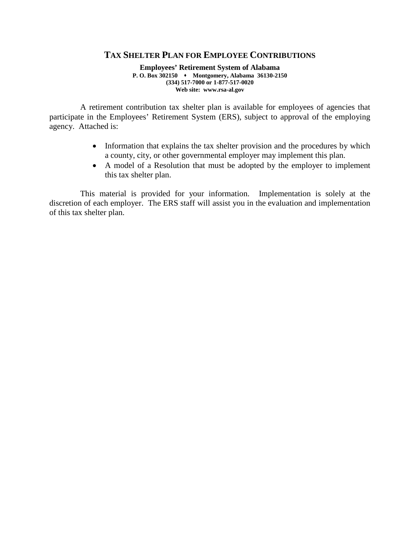## **TAX SHELTER PLAN FOR EMPLOYEE CONTRIBUTIONS**

**Employees' Retirement System of Alabama P. O. Box 302150 Montgomery, Alabama 36130-2150 (334) 517-7000 or 1-877-517-0020 Web site: www.rsa-al.gov**

A retirement contribution tax shelter plan is available for employees of agencies that participate in the Employees' Retirement System (ERS), subject to approval of the employing agency. Attached is:

- Information that explains the tax shelter provision and the procedures by which a county, city, or other governmental employer may implement this plan.
- A model of a Resolution that must be adopted by the employer to implement this tax shelter plan.

This material is provided for your information. Implementation is solely at the discretion of each employer. The ERS staff will assist you in the evaluation and implementation of this tax shelter plan.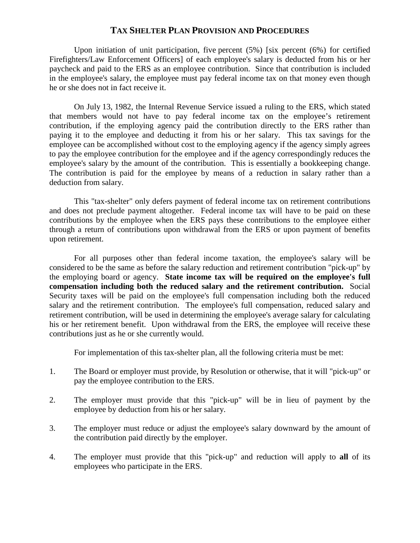## **TAX SHELTER PLAN PROVISION AND PROCEDURES**

Upon initiation of unit participation, five percent (5%) [six percent (6%) for certified Firefighters/Law Enforcement Officers] of each employee's salary is deducted from his or her paycheck and paid to the ERS as an employee contribution. Since that contribution is included in the employee's salary, the employee must pay federal income tax on that money even though he or she does not in fact receive it.

On July 13, 1982, the Internal Revenue Service issued a ruling to the ERS, which stated that members would not have to pay federal income tax on the employee's retirement contribution, if the employing agency paid the contribution directly to the ERS rather than paying it to the employee and deducting it from his or her salary. This tax savings for the employee can be accomplished without cost to the employing agency if the agency simply agrees to pay the employee contribution for the employee and if the agency correspondingly reduces the employee's salary by the amount of the contribution. This is essentially a bookkeeping change. The contribution is paid for the employee by means of a reduction in salary rather than a deduction from salary.

This "tax-shelter" only defers payment of federal income tax on retirement contributions and does not preclude payment altogether. Federal income tax will have to be paid on these contributions by the employee when the ERS pays these contributions to the employee either through a return of contributions upon withdrawal from the ERS or upon payment of benefits upon retirement.

For all purposes other than federal income taxation, the employee's salary will be considered to be the same as before the salary reduction and retirement contribution "pick-up" by the employing board or agency. **State income tax will be required on the employee's full compensation including both the reduced salary and the retirement contribution.** Social Security taxes will be paid on the employee's full compensation including both the reduced salary and the retirement contribution. The employee's full compensation, reduced salary and retirement contribution, will be used in determining the employee's average salary for calculating his or her retirement benefit. Upon withdrawal from the ERS, the employee will receive these contributions just as he or she currently would.

For implementation of this tax-shelter plan, all the following criteria must be met:

- 1. The Board or employer must provide, by Resolution or otherwise, that it will "pick-up" or pay the employee contribution to the ERS.
- 2. The employer must provide that this "pick-up" will be in lieu of payment by the employee by deduction from his or her salary.
- 3. The employer must reduce or adjust the employee's salary downward by the amount of the contribution paid directly by the employer.
- 4. The employer must provide that this "pick-up" and reduction will apply to **all** of its employees who participate in the ERS.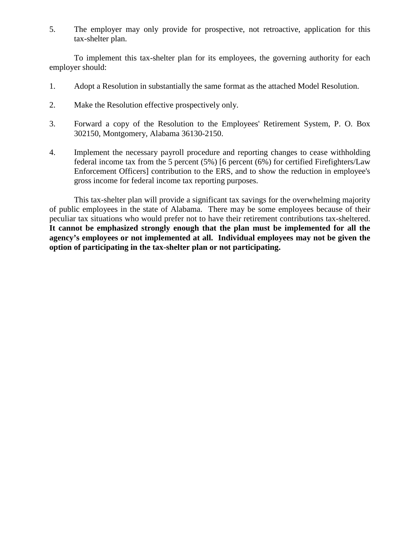5. The employer may only provide for prospective, not retroactive, application for this tax-shelter plan.

To implement this tax-shelter plan for its employees, the governing authority for each employer should:

- 1. Adopt a Resolution in substantially the same format as the attached Model Resolution.
- 2. Make the Resolution effective prospectively only.
- 3. Forward a copy of the Resolution to the Employees' Retirement System, P. O. Box 302150, Montgomery, Alabama 36130-2150.
- 4. Implement the necessary payroll procedure and reporting changes to cease withholding federal income tax from the 5 percent (5%) [6 percent (6%) for certified Firefighters/Law Enforcement Officers] contribution to the ERS, and to show the reduction in employee's gross income for federal income tax reporting purposes.

This tax-shelter plan will provide a significant tax savings for the overwhelming majority of public employees in the state of Alabama. There may be some employees because of their peculiar tax situations who would prefer not to have their retirement contributions tax-sheltered. **It cannot be emphasized strongly enough that the plan must be implemented for all the agency's employees or not implemented at all. Individual employees may not be given the option of participating in the tax-shelter plan or not participating.**